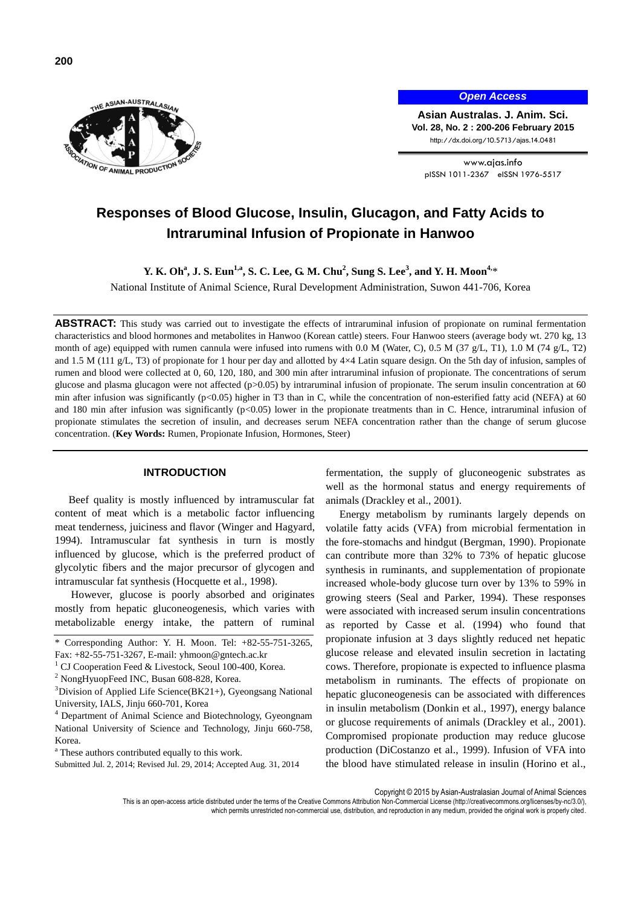



*Open Access*

**Asian Australas. J. Anim. Sci. Vol. 28, No. 2 : 200-206 February 2015** http://dx.doi.org/10.5713/ajas.14.0481

www.ajas.info pISSN 1011-2367 eISSN 1976-5517

# **Responses of Blood Glucose, Insulin, Glucagon, and Fatty Acids to Intraruminal Infusion of Propionate in Hanwoo**

**Y. K. Oh<sup>a</sup> , J. S. Eun1,a, S. C. Lee, G. M. Chu<sup>2</sup> , Sung S. Lee<sup>3</sup> , and Y. H. Moon4,**\*

National Institute of Animal Science, Rural Development Administration, Suwon 441-706, Korea

**ABSTRACT:** This study was carried out to investigate the effects of intraruminal infusion of propionate on ruminal fermentation characteristics and blood hormones and metabolites in Hanwoo (Korean cattle) steers. Four Hanwoo steers (average body wt. 270 kg, 13 month of age) equipped with rumen cannula were infused into rumens with 0.0 M (Water, C), 0.5 M (37 g/L, T1), 1.0 M (74 g/L, T2) and 1.5 M (111 g/L, T3) of propionate for 1 hour per day and allotted by  $4\times4$  Latin square design. On the 5th day of infusion, samples of rumen and blood were collected at 0, 60, 120, 180, and 300 min after intraruminal infusion of propionate. The concentrations of serum glucose and plasma glucagon were not affected ( $p>0.05$ ) by intraruminal infusion of propionate. The serum insulin concentration at 60 min after infusion was significantly  $(p<0.05)$  higher in T3 than in C, while the concentration of non-esterified fatty acid (NEFA) at 60 and 180 min after infusion was significantly  $(p<0.05)$  lower in the propionate treatments than in C. Hence, intraruminal infusion of propionate stimulates the secretion of insulin, and decreases serum NEFA concentration rather than the change of serum glucose concentration. (**Key Words:** Rumen, Propionate Infusion, Hormones, Steer)

# **INTRODUCTION**

Beef quality is mostly influenced by intramuscular fat content of meat which is a metabolic factor influencing meat tenderness, juiciness and flavor (Winger and Hagyard, 1994). Intramuscular fat synthesis in turn is mostly influenced by glucose, which is the preferred product of glycolytic fibers and the major precursor of glycogen and intramuscular fat synthesis (Hocquette et al., 1998).

However, glucose is poorly absorbed and originates mostly from hepatic gluconeogenesis, which varies with metabolizable energy intake, the pattern of ruminal

Submitted Jul. 2, 2014; Revised Jul. 29, 2014; Accepted Aug. 31, 2014

fermentation, the supply of gluconeogenic substrates as well as the hormonal status and energy requirements of animals (Drackley et al., 2001).

Energy metabolism by ruminants largely depends on volatile fatty acids (VFA) from microbial fermentation in the fore-stomachs and hindgut (Bergman, 1990). Propionate can contribute more than 32% to 73% of hepatic glucose synthesis in ruminants, and supplementation of propionate increased whole-body glucose turn over by 13% to 59% in growing steers (Seal and Parker, 1994). These responses were associated with increased serum insulin concentrations as reported by Casse et al. (1994) who found that propionate infusion at 3 days slightly reduced net hepatic glucose release and elevated insulin secretion in lactating cows. Therefore, propionate is expected to influence plasma metabolism in ruminants. The effects of propionate on hepatic gluconeogenesis can be associated with differences in insulin metabolism (Donkin et al., 1997), energy balance or glucose requirements of animals (Drackley et al., 2001). Compromised propionate production may reduce glucose production (DiCostanzo et al., 1999). Infusion of VFA into the blood have stimulated release in insulin (Horino et al.,

Copyright © 2015 by Asian-Australasian Journal of Animal Sciences

This is an open-access article distributed under the terms of the Creative Commons Attribution Non-Commercial License [\(http://creativecommons.org/licenses/by-nc/3.0/\),](http://creativecommons.org/licenses/by-nc/3.0/) which permits unrestricted non-commercial use, distribution, and reproduction in any medium, provided the original work is properly cited

<sup>\*</sup> Corresponding Author: Y. H. Moon. Tel: +82-55-751-3265, Fax: +82-55-751-3267, E-mail[: yhmoon@gntech.ac.kr](mailto:yhmoon@gntech.ac.kr)

<sup>&</sup>lt;sup>1</sup> CJ Cooperation Feed & Livestock, Seoul 100-400, Korea.

<sup>2</sup> NongHyuopFeed INC, Busan 608-828, Korea.

 $3$ Division of Applied Life Science(BK21+), Gyeongsang National University, IALS, Jinju 660-701, Korea

<sup>4</sup> Department of Animal Science and Biotechnology, Gyeongnam National University of Science and Technology, Jinju 660-758, Korea.

<sup>&</sup>lt;sup>a</sup> These authors contributed equally to this work.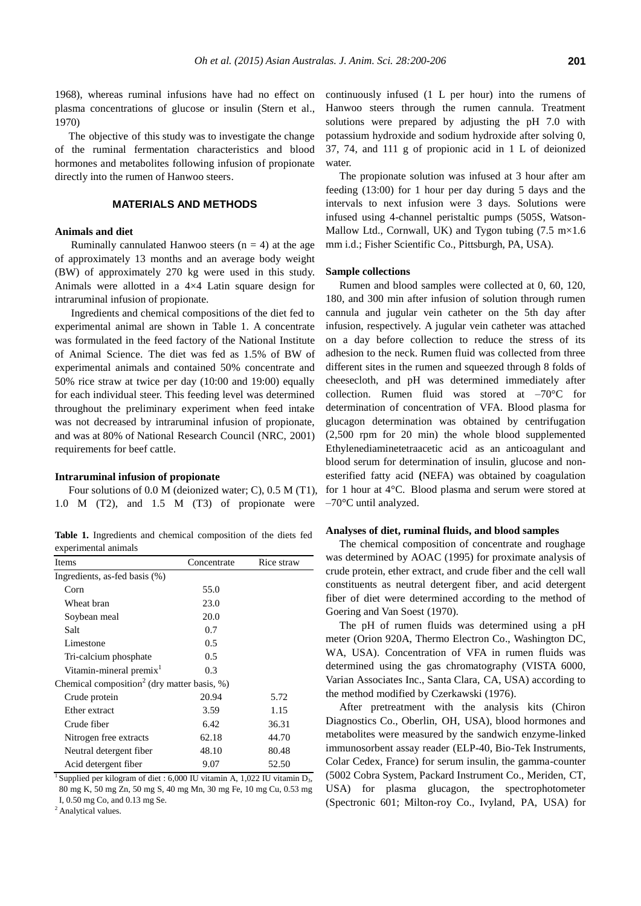1968), whereas ruminal infusions have had no effect on plasma concentrations of glucose or insulin (Stern et al., 1970)

The objective of this study was to investigate the change of the ruminal fermentation characteristics and blood hormones and metabolites following infusion of propionate directly into the rumen of Hanwoo steers.

# **MATERIALS AND METHODS**

## **Animals and diet**

Ruminally cannulated Hanwoo steers  $(n = 4)$  at the age of approximately 13 months and an average body weight (BW) of approximately 270 kg were used in this study. Animals were allotted in a 4×4 Latin square design for intraruminal infusion of propionate.

Ingredients and chemical compositions of the diet fed to experimental animal are shown in Table 1. A concentrate was formulated in the feed factory of the National Institute of Animal Science. The diet was fed as 1.5% of BW of experimental animals and contained 50% concentrate and 50% rice straw at twice per day (10:00 and 19:00) equally for each individual steer. This feeding level was determined throughout the preliminary experiment when feed intake was not decreased by intraruminal infusion of propionate, and was at 80% of National Research Council (NRC, 2001) requirements for beef cattle.

#### **Intraruminal infusion of propionate**

Four solutions of 0.0 M (deionized water; C), 0.5 M (T1), 1.0 M (T2), and 1.5 M (T3) of propionate were

**Table 1.** Ingredients and chemical composition of the diets fed experimental animals

| Items                                                       | Concentrate | Rice straw |
|-------------------------------------------------------------|-------------|------------|
| Ingredients, as-fed basis (%)                               |             |            |
| Corn                                                        | 55.0        |            |
| Wheat bran                                                  | 23.0        |            |
| Soybean meal                                                | 20.0        |            |
| Salt                                                        | 0.7         |            |
| Limestone                                                   | 0.5         |            |
| Tri-calcium phosphate                                       | 0.5         |            |
| Vitamin-mineral premix <sup>1</sup>                         | 0.3         |            |
| Chemical composition <sup>2</sup> (dry matter basis, $\%$ ) |             |            |
| Crude protein                                               | 20.94       | 5.72       |
| Ether extract                                               | 3.59        | 1.15       |
| Crude fiber                                                 | 6.42        | 36.31      |
| Nitrogen free extracts                                      | 62.18       | 44.70      |
| Neutral detergent fiber                                     | 48.10       | 80.48      |
| Acid detergent fiber                                        | 9.07        | 52.50      |

<sup>1</sup> Supplied per kilogram of diet : 6,000 IU vitamin A, 1,022 IU vitamin  $D_3$ , 80 mg K, 50 mg Zn, 50 mg S, 40 mg Mn, 30 mg Fe, 10 mg Cu, 0.53 mg I, 0.50 mg Co, and 0.13 mg Se.

<sup>2</sup> Analytical values.

continuously infused (1 L per hour) into the rumens of Hanwoo steers through the rumen cannula. Treatment solutions were prepared by adjusting the pH 7.0 with potassium hydroxide and sodium hydroxide after solving 0, 37, 74, and 111 g of propionic acid in 1 L of deionized water.

The propionate solution was infused at 3 hour after am feeding (13:00) for 1 hour per day during 5 days and the intervals to next infusion were 3 days. Solutions were infused using 4-channel peristaltic pumps (505S, Watson-Mallow Ltd., Cornwall, UK) and Tygon tubing  $(7.5 \text{ m} \times 1.6)$ mm i.d.; Fisher Scientific Co., Pittsburgh, PA, USA).

#### **Sample collections**

Rumen and blood samples were collected at 0, 60, 120, 180, and 300 min after infusion of solution through rumen cannula and jugular vein catheter on the 5th day after infusion, respectively. A jugular vein catheter was attached on a day before collection to reduce the stress of its adhesion to the neck. Rumen fluid was collected from three different sites in the rumen and squeezed through 8 folds of cheesecloth, and pH was determined immediately after collection. Rumen fluid was stored at –70°C for determination of concentration of VFA. Blood plasma for glucagon determination was obtained by centrifugation (2,500 rpm for 20 min) the whole blood supplemented Ethylenediaminetetraacetic acid as an anticoagulant and blood serum for determination of insulin, glucose and nonesterified fatty acid **(**NEFA) was obtained by coagulation for 1 hour at 4°C. Blood plasma and serum were stored at –70°C until analyzed.

#### **Analyses of diet, ruminal fluids, and blood samples**

The chemical composition of concentrate and roughage was determined by AOAC (1995) for proximate analysis of crude protein, ether extract, and crude fiber and the cell wall constituents as neutral detergent fiber, and acid detergent fiber of diet were determined according to the method of Goering and Van Soest (1970).

The pH of rumen fluids was determined using a pH meter (Orion 920A, Thermo Electron Co., Washington DC, WA, USA). Concentration of VFA in rumen fluids was determined using the gas chromatography (VISTA 6000, Varian Associates Inc., Santa Clara, CA, USA) according to the method modified by Czerkawski (1976).

After pretreatment with the analysis kits (Chiron Diagnostics Co., Oberlin, OH, USA), blood hormones and metabolites were measured by the sandwich enzyme-linked immunosorbent assay reader (ELP-40, Bio-Tek Instruments, Colar Cedex, France) for serum insulin, the gamma-counter (5002 Cobra System, Packard Instrument Co., Meriden, CT, USA) for plasma glucagon, the spectrophotometer (Spectronic 601; Milton-roy Co., Ivyland, PA, USA) for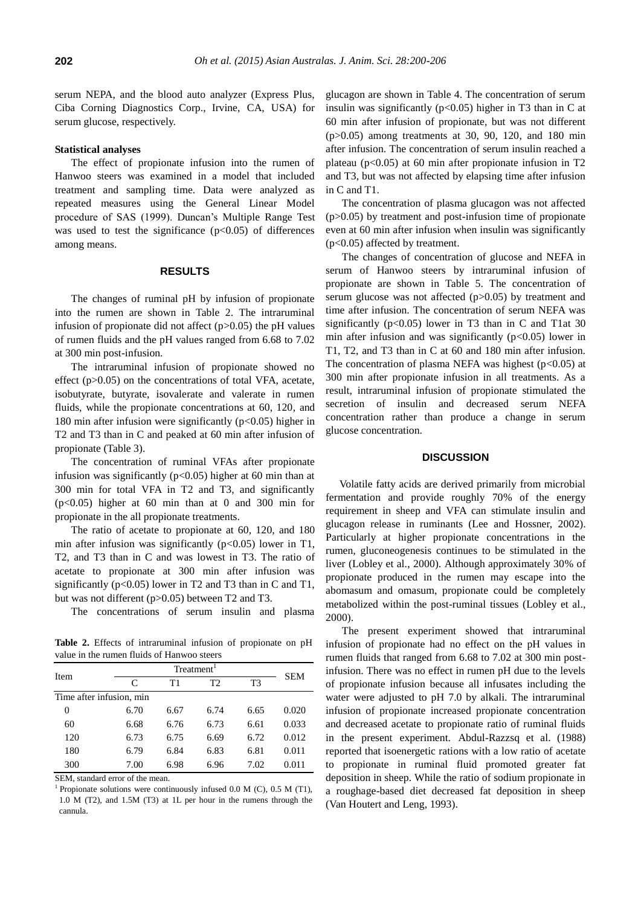serum NEPA, and the blood auto analyzer (Express Plus, Ciba Corning Diagnostics Corp., Irvine, CA, USA) for serum glucose, respectively.

#### **Statistical analyses**

The effect of propionate infusion into the rumen of Hanwoo steers was examined in a model that included treatment and sampling time. Data were analyzed as repeated measures using the General Linear Model procedure of SAS (1999). Duncan's Multiple Range Test was used to test the significance  $(p<0.05)$  of differences among means.

## **RESULTS**

The changes of ruminal pH by infusion of propionate into the rumen are shown in Table 2. The intraruminal infusion of propionate did not affect  $(p>0.05)$  the pH values of rumen fluids and the pH values ranged from 6.68 to 7.02 at 300 min post-infusion.

The intraruminal infusion of propionate showed no effect (p>0.05) on the concentrations of total VFA, acetate, isobutyrate, butyrate, isovalerate and valerate in rumen fluids, while the propionate concentrations at 60, 120, and 180 min after infusion were significantly ( $p<0.05$ ) higher in T2 and T3 than in C and peaked at 60 min after infusion of propionate (Table 3).

The concentration of ruminal VFAs after propionate infusion was significantly ( $p$ <0.05) higher at 60 min than at 300 min for total VFA in T2 and T3, and significantly  $(p<0.05)$  higher at 60 min than at 0 and 300 min for propionate in the all propionate treatments.

The ratio of acetate to propionate at 60, 120, and 180 min after infusion was significantly ( $p < 0.05$ ) lower in T1, T2, and T3 than in C and was lowest in T3. The ratio of acetate to propionate at 300 min after infusion was significantly ( $p<0.05$ ) lower in T2 and T3 than in C and T1, but was not different (p>0.05) between T2 and T3.

The concentrations of serum insulin and plasma

**Table 2.** Effects of intraruminal infusion of propionate on pH value in the rumen fluids of Hanwoo steers

| Item                     | Treatment <sup>1</sup> |      |                |      | <b>SEM</b> |  |
|--------------------------|------------------------|------|----------------|------|------------|--|
|                          | C                      | Τ1   | T <sub>2</sub> | T3   |            |  |
| Time after infusion, min |                        |      |                |      |            |  |
| 0                        | 6.70                   | 6.67 | 6.74           | 6.65 | 0.020      |  |
| 60                       | 6.68                   | 6.76 | 6.73           | 6.61 | 0.033      |  |
| 120                      | 6.73                   | 6.75 | 6.69           | 6.72 | 0.012      |  |
| 180                      | 6.79                   | 6.84 | 6.83           | 6.81 | 0.011      |  |
| 300                      | 7.00                   | 6.98 | 6.96           | 7.02 | 0.011      |  |

SEM, standard error of the mean.

<sup>1</sup> Propionate solutions were continuously infused 0.0 M (C), 0.5 M (T1), 1.0 M (T2), and 1.5M (T3) at 1L per hour in the rumens through the cannula.

glucagon are shown in Table 4. The concentration of serum insulin was significantly ( $p<0.05$ ) higher in T3 than in C at 60 min after infusion of propionate, but was not different (p>0.05) among treatments at 30, 90, 120, and 180 min after infusion. The concentration of serum insulin reached a plateau ( $p<0.05$ ) at 60 min after propionate infusion in T2 and T3, but was not affected by elapsing time after infusion in C and T1.

The concentration of plasma glucagon was not affected  $(p>0.05)$  by treatment and post-infusion time of propionate even at 60 min after infusion when insulin was significantly (p<0.05) affected by treatment.

The changes of concentration of glucose and NEFA in serum of Hanwoo steers by intraruminal infusion of propionate are shown in Table 5. The concentration of serum glucose was not affected (p>0.05) by treatment and time after infusion. The concentration of serum NEFA was significantly ( $p<0.05$ ) lower in T3 than in C and T1at 30 min after infusion and was significantly  $(p<0.05)$  lower in T1, T2, and T3 than in C at 60 and 180 min after infusion. The concentration of plasma NEFA was highest ( $p<0.05$ ) at 300 min after propionate infusion in all treatments. As a result, intraruminal infusion of propionate stimulated the secretion of insulin and decreased serum NEFA concentration rather than produce a change in serum glucose concentration.

## **DISCUSSION**

Volatile fatty acids are derived primarily from microbial fermentation and provide roughly 70% of the energy requirement in sheep and VFA can stimulate insulin and glucagon release in ruminants (Lee and Hossner, 2002). Particularly at higher propionate concentrations in the rumen, gluconeogenesis continues to be stimulated in the liver (Lobley et al., 2000). Although approximately 30% of propionate produced in the rumen may escape into the abomasum and omasum, propionate could be completely metabolized within the post-ruminal tissues (Lobley et al., 2000).

The present experiment showed that intraruminal infusion of propionate had no effect on the pH values in rumen fluids that ranged from 6.68 to 7.02 at 300 min postinfusion. There was no effect in rumen pH due to the levels of propionate infusion because all infusates including the water were adjusted to pH 7.0 by alkali. The intraruminal infusion of propionate increased propionate concentration and decreased acetate to propionate ratio of ruminal fluids in the present experiment. Abdul-Razzsq et al. (1988) reported that isoenergetic rations with a low ratio of acetate to propionate in ruminal fluid promoted greater fat deposition in sheep. While the ratio of sodium propionate in a roughage-based diet decreased fat deposition in sheep (Van Houtert and Leng, 1993).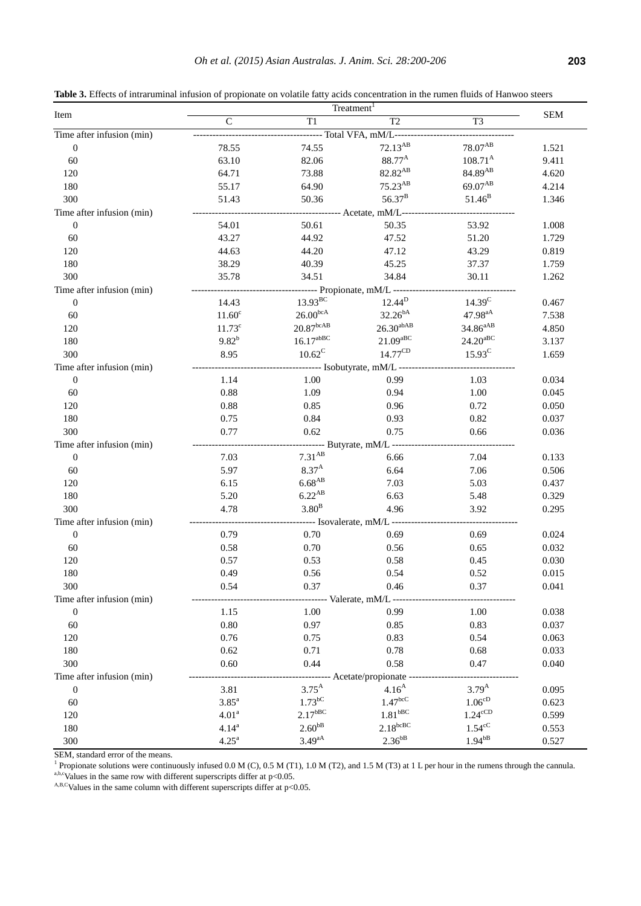**Table 3.** Effects of intraruminal infusion of propionate on volatile fatty acids concentration in the rumen fluids of Hanwoo steers

| Item                      | Treatment <sup>1</sup> |                       |                                                    |                        |            |
|---------------------------|------------------------|-----------------------|----------------------------------------------------|------------------------|------------|
|                           | $\mathsf{C}$           | T1                    | T2                                                 | T3                     | <b>SEM</b> |
| Time after infusion (min) |                        |                       | ---- Total VFA, mM/L--                             |                        |            |
| $\boldsymbol{0}$          | 78.55                  | 74.55                 | $72.13^{AB}$                                       | $78.07^{\mathrm{AB}}$  | 1.521      |
| 60                        | 63.10                  | 82.06                 | 88.77 <sup>A</sup>                                 | $108.71^{A}$           | 9.411      |
| 120                       | 64.71                  | 73.88                 | 82.82 <sup>AB</sup>                                | 84.89 <sup>AB</sup>    | 4.620      |
| 180                       | 55.17                  | 64.90                 | $75.23^{AB}$                                       | 69.07 <sup>AB</sup>    | 4.214      |
| 300                       | 51.43                  | 50.36                 | $56.37^{B}$                                        | $51.46^{B}$            | 1.346      |
| Time after infusion (min) |                        |                       | ------------ Acetate, mM/L--                       |                        |            |
| $\boldsymbol{0}$          | 54.01                  | 50.61                 | 50.35                                              | 53.92                  | 1.008      |
| 60                        | 43.27                  | 44.92                 | 47.52                                              | 51.20                  | 1.729      |
| 120                       | 44.63                  | 44.20                 | 47.12                                              | 43.29                  | 0.819      |
| 180                       | 38.29                  | 40.39                 | 45.25                                              | 37.37                  | 1.759      |
| 300                       | 35.78                  | 34.51                 | 34.84                                              | 30.11                  | 1.262      |
| Time after infusion (min) |                        |                       | ----- Propionate, mM/L ------                      |                        |            |
| $\boldsymbol{0}$          | 14.43                  | $13.93^{BC}$          | $12.44^{D}$                                        | 14.39 <sup>C</sup>     | 0.467      |
| 60                        | 11.60 <sup>c</sup>     | $26.00^{\rm bca}$     | $32.26^{bA}$                                       | 47.98 <sup>aA</sup>    | 7.538      |
| 120                       | $11.73^c$              | $20.87^{\rm bcAB}$    | $26.30^{abAB}$                                     | 34.86 <sup>aAB</sup>   | 4.850      |
| 180                       | $9.82^{b}$             | $16.17^{abBC}$        | $21.09$ <sub>aBC</sub>                             | $24.20$ <sup>aBC</sup> | 3.137      |
| 300                       | 8.95                   | $10.62^C$             | $14.77^{\text{CD}}$                                | $15.93^C$              | 1.659      |
| Time after infusion (min) |                        |                       | ------- Isobutyrate, mM/L -------                  |                        |            |
| $\boldsymbol{0}$          | 1.14                   | 1.00                  | 0.99                                               | 1.03                   | 0.034      |
| 60                        | 0.88                   | 1.09                  | 0.94                                               | 1.00                   | 0.045      |
| 120                       | 0.88                   | 0.85                  | 0.96                                               | 0.72                   | 0.050      |
| 180                       | 0.75                   | 0.84                  | 0.93                                               | 0.82                   | 0.037      |
| 300                       | 0.77                   | 0.62                  | 0.75                                               | 0.66                   | 0.036      |
| Time after infusion (min) |                        |                       | ------ Butyrate, mM/L ------                       |                        |            |
| $\boldsymbol{0}$          | 7.03                   | 7.31 <sup>AB</sup>    | 6.66                                               | 7.04                   | 0.133      |
| 60                        | 5.97                   | $8.37^{A}$            | 6.64                                               | 7.06                   | 0.506      |
| 120                       | 6.15                   | $6.68^{AB}$           | 7.03                                               | 5.03                   | 0.437      |
| 180                       | 5.20                   | $6.22^{AB}$           | 6.63                                               | 5.48                   | 0.329      |
| 300                       | 4.78                   | 3.80 <sup>B</sup>     | 4.96                                               | 3.92                   | 0.295      |
| Time after infusion (min) |                        |                       | ----- Isovalerate, mM/L -----                      |                        |            |
| $\boldsymbol{0}$          | 0.79                   | 0.70                  | 0.69                                               | 0.69                   | 0.024      |
| 60                        | 0.58                   | 0.70                  | 0.56                                               | 0.65                   | 0.032      |
| 120                       | 0.57                   | 0.53                  | 0.58                                               | 0.45                   | 0.030      |
| 180                       | 0.49                   | 0.56                  | 0.54                                               | 0.52                   | 0.015      |
| 300                       | 0.54                   | 0.37                  | 0.46                                               | 0.37                   | 0.041      |
| Time after infusion (min) |                        |                       |                                                    |                        |            |
| $\boldsymbol{0}$          | 1.15                   | 1.00                  | 0.99                                               | 1.00                   | 0.038      |
| 60                        | $0.80\,$               | 0.97                  | 0.85                                               | 0.83                   | 0.037      |
|                           | 0.76                   |                       | 0.83                                               | 0.54                   | 0.063      |
| 120<br>180                | 0.62                   | 0.75<br>0.71          | 0.78                                               | 0.68                   | 0.033      |
| 300                       |                        | 0.44                  | 0.58                                               | 0.47                   | 0.040      |
|                           | 0.60                   |                       |                                                    |                        |            |
| Time after infusion (min) |                        | $3.75^{A}$            | ---------- Acetate/propionate<br>4.16 <sup>A</sup> | $3.79^{A}$             |            |
| $\boldsymbol{0}$          | 3.81                   | $1.73$ <sup>bC</sup>  | $1.47^{bcC}$                                       | $1.06^{\text{cD}}$     | 0.095      |
| 60                        | $3.85^a$               | $2.17$ <sup>bBC</sup> | $1.81$ <sub>bBC</sub>                              | $1.24^{\text{cCD}}$    | 0.623      |
| 120                       | 4.01 <sup>a</sup>      |                       | $2.18^{bcBC}$                                      |                        | 0.599      |
| 180                       | $4.14^{a}$             | $2.60^{bB}$           |                                                    | $1.54^{\circ}$ C       | 0.553      |
| 300                       | $4.25^{\rm a}$         | $3.49^{aA}$           | $2.36^{bB}$                                        | $1.94^{bB}$            | 0.527      |

SEM, standard error of the means.

<sup>1</sup> Propionate solutions were continuously infused 0.0 M (C), 0.5 M (T1), 1.0 M (T2), and 1.5 M (T3) at 1 L per hour in the rumens through the cannula.

a,b,cValues in the same row with different superscripts differ at  $p<0.05$ .

 $A,B,C$ Values in the same column with different superscripts differ at p<0.05.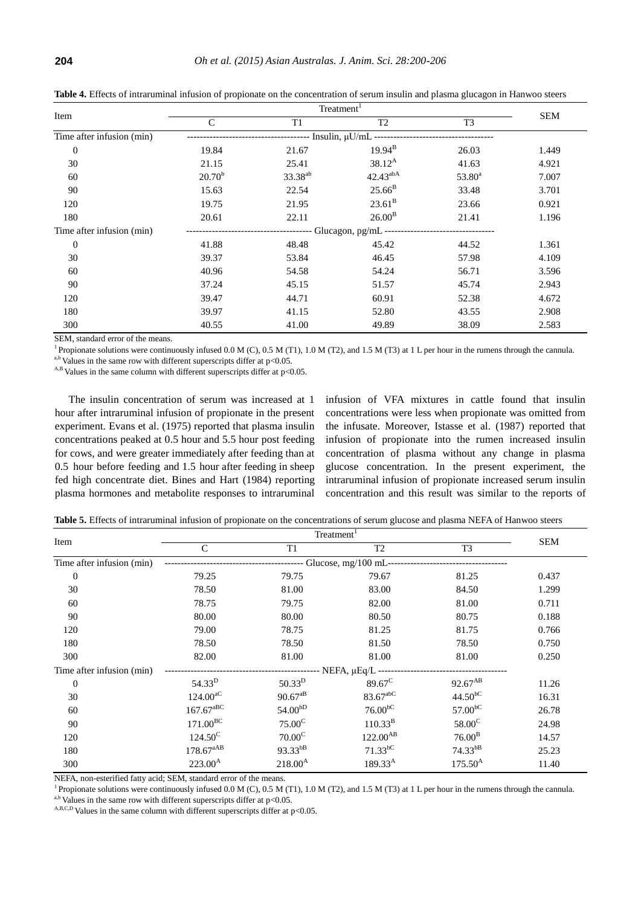| Item                      | Treatment <sup>1</sup> |                     |                                                 |                |            |
|---------------------------|------------------------|---------------------|-------------------------------------------------|----------------|------------|
|                           | $\mathcal{C}$          | T1                  | T <sub>2</sub>                                  | T <sub>3</sub> | <b>SEM</b> |
| Time after infusion (min) |                        |                     | --------- Insulin, µU/mL ---------------------- |                |            |
| $\boldsymbol{0}$          | 19.84                  | 21.67               | $19.94^{B}$                                     | 26.03          | 1.449      |
| 30                        | 21.15                  | 25.41               | $38.12^{A}$                                     | 41.63          | 4.921      |
| 60                        | $20.70^{b}$            | 33.38 <sup>ab</sup> | $42.43^{abA}$                                   | $53.80^a$      | 7.007      |
| 90                        | 15.63                  | 22.54               | $25.66^{B}$                                     | 33.48          | 3.701      |
| 120                       | 19.75                  | 21.95               | $23.61^{\rm B}$                                 | 23.66          | 0.921      |
| 180                       | 20.61                  | 22.11               | $26.00^{B}$                                     | 21.41          | 1.196      |
| Time after infusion (min) |                        |                     |                                                 |                |            |
| $\overline{0}$            | 41.88                  | 48.48               | 45.42                                           | 44.52          | 1.361      |
| 30                        | 39.37                  | 53.84               | 46.45                                           | 57.98          | 4.109      |
| 60                        | 40.96                  | 54.58               | 54.24                                           | 56.71          | 3.596      |
| 90                        | 37.24                  | 45.15               | 51.57                                           | 45.74          | 2.943      |
| 120                       | 39.47                  | 44.71               | 60.91                                           | 52.38          | 4.672      |
| 180                       | 39.97                  | 41.15               | 52.80                                           | 43.55          | 2.908      |
| 300                       | 40.55                  | 41.00               | 49.89                                           | 38.09          | 2.583      |

**Table 4.** Effects of intraruminal infusion of propionate on the concentration of serum insulin and plasma glucagon in Hanwoo steers

SEM, standard error of the means.

<sup>1</sup> Propionate solutions were continuously infused  $0.0 M$  (C),  $0.5 M$  (T1),  $1.0 M$  (T2), and  $1.5 M$  (T3) at 1 L per hour in the rumens through the cannula.

a,b Values in the same row with different superscripts differ at p<0.05.

 $A$ ,B Values in the same column with different superscripts differ at p<0.05.

The insulin concentration of serum was increased at 1 hour after intraruminal infusion of propionate in the present experiment. Evans et al. (1975) reported that plasma insulin concentrations peaked at 0.5 hour and 5.5 hour post feeding for cows, and were greater immediately after feeding than at 0.5 hour before feeding and 1.5 hour after feeding in sheep fed high concentrate diet. Bines and Hart (1984) reporting plasma hormones and metabolite responses to intraruminal

infusion of VFA mixtures in cattle found that insulin concentrations were less when propionate was omitted from the infusate. Moreover, Istasse et al. (1987) reported that infusion of propionate into the rumen increased insulin concentration of plasma without any change in plasma glucose concentration. In the present experiment, the intraruminal infusion of propionate increased serum insulin concentration and this result was similar to the reports of

| Table 5. Effects of intraruminal infusion of propionate on the concentrations of serum glucose and plasma NEFA of Hanwoo steers |                                                  |                     |                     |                       |            |  |
|---------------------------------------------------------------------------------------------------------------------------------|--------------------------------------------------|---------------------|---------------------|-----------------------|------------|--|
| Item                                                                                                                            | Treatment <sup>1</sup>                           |                     |                     |                       |            |  |
|                                                                                                                                 | $\mathcal{C}$                                    | T1                  | T <sub>2</sub>      | T <sub>3</sub>        | <b>SEM</b> |  |
| Time after infusion (min)                                                                                                       | ------------------------- Glucose, mg/100 mL---- |                     |                     |                       |            |  |
| $\boldsymbol{0}$                                                                                                                | 79.25                                            | 79.75               | 79.67               | 81.25                 | 0.437      |  |
| 30                                                                                                                              | 78.50                                            | 81.00               | 83.00               | 84.50                 | 1.299      |  |
| 60                                                                                                                              | 78.75                                            | 79.75               | 82.00               | 81.00                 | 0.711      |  |
| 90                                                                                                                              | 80.00                                            | 80.00               | 80.50               | 80.75                 | 0.188      |  |
| 120                                                                                                                             | 79.00                                            | 78.75               | 81.25               | 81.75                 | 0.766      |  |
| 180                                                                                                                             | 78.50                                            | 78.50               | 81.50               | 78.50                 | 0.750      |  |
| 300                                                                                                                             | 82.00                                            | 81.00               | 81.00               | 81.00                 | 0.250      |  |
| Time after infusion (min)                                                                                                       |                                                  |                     |                     |                       |            |  |
| $\overline{0}$                                                                                                                  | 54.33 <sup>D</sup>                               | $50.33^{D}$         | $89.67^{\circ}$     | $92.67^{AB}$          | 11.26      |  |
| 30                                                                                                                              | $124.00^{aC}$                                    | $90.67^{aB}$        | 83.67abC            | $44.50$ <sup>bC</sup> | 16.31      |  |
| 60                                                                                                                              | $167.67$ <sup>aBC</sup>                          | 54.00 <sup>bD</sup> | 76.00 <sup>bC</sup> | 57.00 <sup>bC</sup>   | 26.78      |  |
| 90                                                                                                                              | $171.00^{BC}$                                    | 75.00 <sup>C</sup>  | $110.33^{B}$        | $58.00^{\circ}$       | 24.98      |  |
| 120                                                                                                                             | $124.50^{\circ}$                                 | 70.00 <sup>C</sup>  | $122.00^{AB}$       | 76.00 <sup>B</sup>    | 14.57      |  |
| 180                                                                                                                             | $178.67^{aAB}$                                   | 93.33bB             | $71.33^{bC}$        | $74.33^{bB}$          | 25.23      |  |
| 300                                                                                                                             | $223.00^{\rm A}$                                 | $218.00^{A}$        | $189.33^{A}$        | $175.50^{A}$          | 11.40      |  |

NEFA, non-esterified fatty acid; SEM, standard error of the means.

<sup>1</sup> Propionate solutions were continuously infused  $0.0 M$  (C),  $0.5 M$  (T1),  $1.0 M$  (T2), and  $1.5 M$  (T3) at 1 L per hour in the rumens through the cannula.

a,b Values in the same row with different superscripts differ at p<0.05.

 $A,B,C,D$  Values in the same column with different superscripts differ at p<0.05.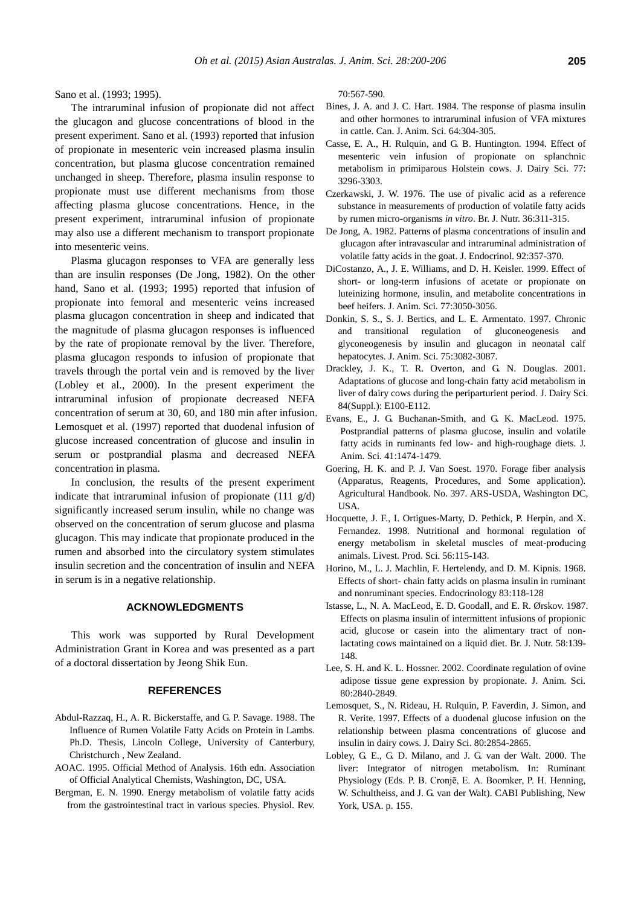Sano et al. (1993; 1995).

The intraruminal infusion of propionate did not affect the glucagon and glucose concentrations of blood in the present experiment. Sano et al. (1993) reported that infusion of propionate in mesenteric vein increased plasma insulin concentration, but plasma glucose concentration remained unchanged in sheep. Therefore, plasma insulin response to propionate must use different mechanisms from those affecting plasma glucose concentrations. Hence, in the present experiment, intraruminal infusion of propionate may also use a different mechanism to transport propionate into mesenteric veins.

Plasma glucagon responses to VFA are generally less than are insulin responses (De Jong, 1982). On the other hand, Sano et al. (1993; 1995) reported that infusion of propionate into femoral and mesenteric veins increased plasma glucagon concentration in sheep and indicated that the magnitude of plasma glucagon responses is influenced by the rate of propionate removal by the liver. Therefore, plasma glucagon responds to infusion of propionate that travels through the portal vein and is removed by the liver (Lobley et al., 2000). In the present experiment the intraruminal infusion of propionate decreased NEFA concentration of serum at 30, 60, and 180 min after infusion. Lemosquet et al. (1997) reported that duodenal infusion of glucose increased concentration of glucose and insulin in serum or postprandial plasma and decreased NEFA concentration in plasma.

In conclusion, the results of the present experiment indicate that intraruminal infusion of propionate (111 g/d) significantly increased serum insulin, while no change was observed on the concentration of serum glucose and plasma glucagon. This may indicate that propionate produced in the rumen and absorbed into the circulatory system stimulates insulin secretion and the concentration of insulin and NEFA in serum is in a negative relationship.

## **ACKNOWLEDGMENTS**

This work was supported by Rural Development Administration Grant in Korea and was presented as a part of a doctoral dissertation by Jeong Shik Eun.

#### **REFERENCES**

- Abdul-Razzaq, H., A. R. Bickerstaffe, and G. P. Savage. 1988. The Influence of Rumen Volatile Fatty Acids on Protein in Lambs. Ph.D. Thesis, Lincoln College, University of Canterbury, Christchurch , New Zealand.
- AOAC. 1995. Official Method of Analysis. 16th edn. Association of Official Analytical Chemists, Washington, DC, USA.
- Bergman, E. N. 1990. Energy metabolism of volatile fatty acids from the gastrointestinal tract in various species. Physiol. Rev.

70:567-590.

- Bines, J. A. and J. C. Hart. 1984. [The response of plasma insulin](http://pubs.aic.ca/doi/abs/10.4141/cjas84-272)  [and other hormones to intraruminal infusion of VFA mixtures](http://pubs.aic.ca/doi/abs/10.4141/cjas84-272) [in cattle.](http://pubs.aic.ca/doi/abs/10.4141/cjas84-272) Can. J. Anim. Sci. 64:304-305.
- Casse, E. A., H. Rulquin, and G. B. Huntington. 1994. [Effect of](http://www.sciencedirect.com/science/article/pii/S0022030294772702)  [mesenteric vein infusion of propionate on splanchnic](http://www.sciencedirect.com/science/article/pii/S0022030294772702)  [metabolism in primiparous Holstein cows.](http://www.sciencedirect.com/science/article/pii/S0022030294772702) J. Dairy Sci. 77: 3296-3303.
- Czerkawski, J. W. 1976. [The use of pivalic acid as a reference](http://www.ncbi.nlm.nih.gov/pubmed/952843)  [substance in measurements of production of volatile fatty acids](http://www.ncbi.nlm.nih.gov/pubmed/952843)  [by rumen micro-organisms](http://www.ncbi.nlm.nih.gov/pubmed/952843) *in vitro*. Br. J. Nutr. 36:311-315.
- De Jong, A. 1982. [Patterns of plasma concentrations of insulin and](http://joe.endocrinology-journals.org/content/92/3/357.short)  [glucagon after intravascular and intraruminal administration of](http://joe.endocrinology-journals.org/content/92/3/357.short)  [volatile fatty acids in the goat.](http://joe.endocrinology-journals.org/content/92/3/357.short) J. Endocrinol. 92:357-370.
- DiCostanzo, A., J. E. Williams, and D. H. Keisler. 1999. [Effect of](http://www.journalofanimalscience.org/content/77/11/3050.short)  short- or [long-term infusions of acetate or propionate on](http://www.journalofanimalscience.org/content/77/11/3050.short)  [luteinizing hormone, insulin, and metabolite concentrations in](http://www.journalofanimalscience.org/content/77/11/3050.short)  [beef heifers.](http://www.journalofanimalscience.org/content/77/11/3050.short) J. Anim. Sci. 77:3050-3056.
- Donkin, S. S., S. J. Bertics, and L. E. Armentato. 1997. [Chronic](http://www.journalofanimalscience.org/content/75/11/3082.short)  [and transitional regulation of](http://www.journalofanimalscience.org/content/75/11/3082.short) gluconeogenesis and [glyconeogenesis by insulin and glucagon in neonatal calf](http://www.journalofanimalscience.org/content/75/11/3082.short)  [hepatocytes.](http://www.journalofanimalscience.org/content/75/11/3082.short) J. Anim. Sci. 75:3082-3087.
- Drackley, J. K., T. R. Overton, and G. N. Douglas. 2001. [Adaptations of glucose and long-chain fatty acid metabolism in](http://www.sciencedirect.com/science/article/pii/S0022030201702044)  [liver of dairy cows during the periparturient period.](http://www.sciencedirect.com/science/article/pii/S0022030201702044) J. Dairy Sci. 84(Suppl.): E100-E112.
- Evans, E., J. G. Buchanan-Smith, and G. K. MacLeod. 1975. [Postprandial patterns of plasma glucose, insulin and volatile](http://www.journalofanimalscience.org/content/41/5/1474.short)  [fatty acids in ruminants fed low-](http://www.journalofanimalscience.org/content/41/5/1474.short) and high-roughage diets. J. Anim. Sci. 41:1474-1479.
- Goering, H. K. and P. J. Van Soest. 1970. Forage fiber analysis (Apparatus, Reagents, Procedures, and Some application). Agricultural Handbook. No. 397. ARS-USDA, Washington DC, USA.
- Hocquette, J. F., I. Ortigues-Marty, D. Pethick, P. Herpin, and X. Fernandez. 1998. [Nutritional and hormonal regulation of](http://www.sciencedirect.com/science/article/pii/S0301622698001870)  [energy metabolism in skeletal muscles of meat-producing](http://www.sciencedirect.com/science/article/pii/S0301622698001870)  [animals.](http://www.sciencedirect.com/science/article/pii/S0301622698001870) Livest. Prod. Sci. 56:115-143.
- Horino, M., L. J. Machlin, F. Hertelendy, and D. M. Kipnis. 1968. Effects of short- [chain fatty acids on plasma insulin in ruminant](http://press.endocrine.org/doi/abs/10.1210/endo-83-1-118)  [and nonruminant species.](http://press.endocrine.org/doi/abs/10.1210/endo-83-1-118) Endocrinology 83:118-128
- Istasse, L., N. A. MacLeod, E. D. Goodall, and E. R. Ø rskov. 1987. [Effects on plasma insulin of intermittent infusions of propionic](http://journals.cambridge.org/action/displayAbstract?fromPage=online&aid=860668&fileId=S0007114587000795)  [acid, glucose or casein into the alimentary tract of non](http://journals.cambridge.org/action/displayAbstract?fromPage=online&aid=860668&fileId=S0007114587000795)[lactating cows maintained on a liquid diet.](http://journals.cambridge.org/action/displayAbstract?fromPage=online&aid=860668&fileId=S0007114587000795) Br. J. Nutr. 58:139- 148.
- Lee, S. H. and K. L. Hossner. 2002[. Coordinate regulation of ovine](http://www.journalofanimalscience.org/content/80/11/2840.short)  [adipose tissue gene expression by propionate.](http://www.journalofanimalscience.org/content/80/11/2840.short) J. Anim. Sci. 80:2840-2849.
- Lemosquet, S., N. Rideau, H. Rulquin, P. Faverdin, J. Simon, and R. Verite. 1997. [Effects of a duodenal glucose infusion on the](http://www.sciencedirect.com/science/article/pii/S0022030297762507)  [relationship between plasma concentrations of glucose and](http://www.sciencedirect.com/science/article/pii/S0022030297762507)  [insulin in dairy cows.](http://www.sciencedirect.com/science/article/pii/S0022030297762507) J. Dairy Sci. 80:2854-2865.
- Lobley, G. E., G. D. Milano, and J. G. van der Walt. 2000. The liver: Integrator of nitrogen metabolism. In: Ruminant Physiology (Eds. P. B. Cronjē, E. A. Boomker, P. H. Henning, W. Schultheiss, and J. G. van der Walt). CABI Publishing, New York, USA. p. 155.